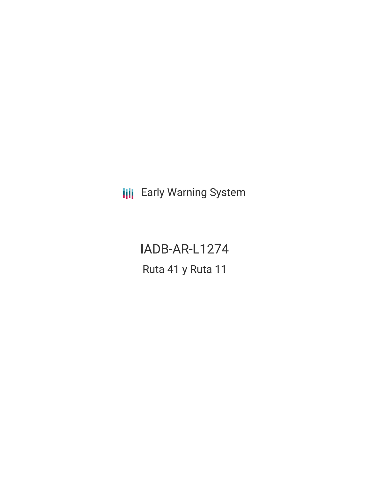**III** Early Warning System

IADB-AR-L1274 Ruta 41 y Ruta 11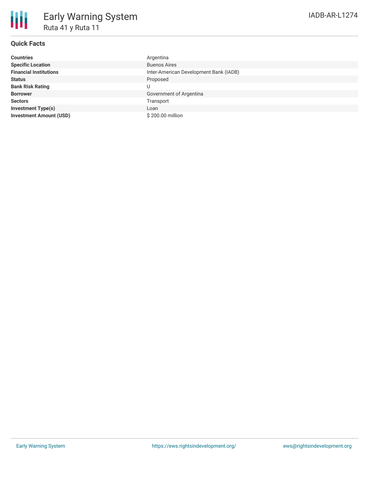## **Quick Facts**

| <b>Countries</b>               | Argentina                              |
|--------------------------------|----------------------------------------|
| <b>Specific Location</b>       | <b>Buenos Aires</b>                    |
| <b>Financial Institutions</b>  | Inter-American Development Bank (IADB) |
| <b>Status</b>                  | Proposed                               |
| <b>Bank Risk Rating</b>        | U                                      |
| <b>Borrower</b>                | Government of Argentina                |
| <b>Sectors</b>                 | Transport                              |
| <b>Investment Type(s)</b>      | Loan                                   |
| <b>Investment Amount (USD)</b> | \$200.00 million                       |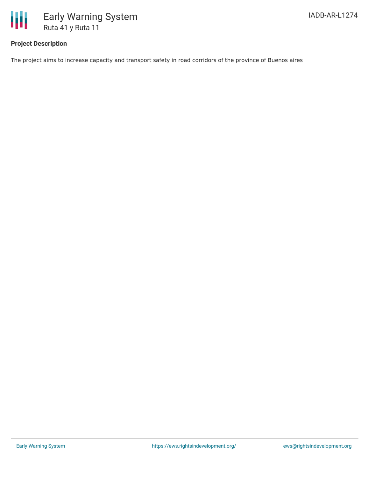

## **Project Description**

The project aims to increase capacity and transport safety in road corridors of the province of Buenos aires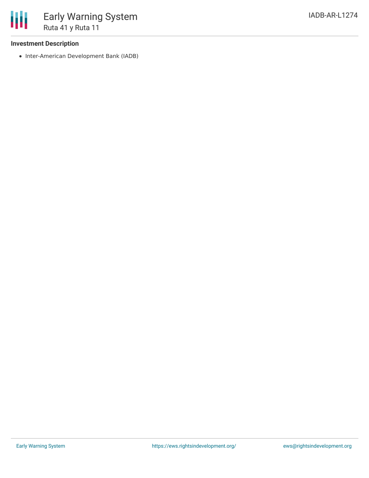## **Investment Description**

• Inter-American Development Bank (IADB)